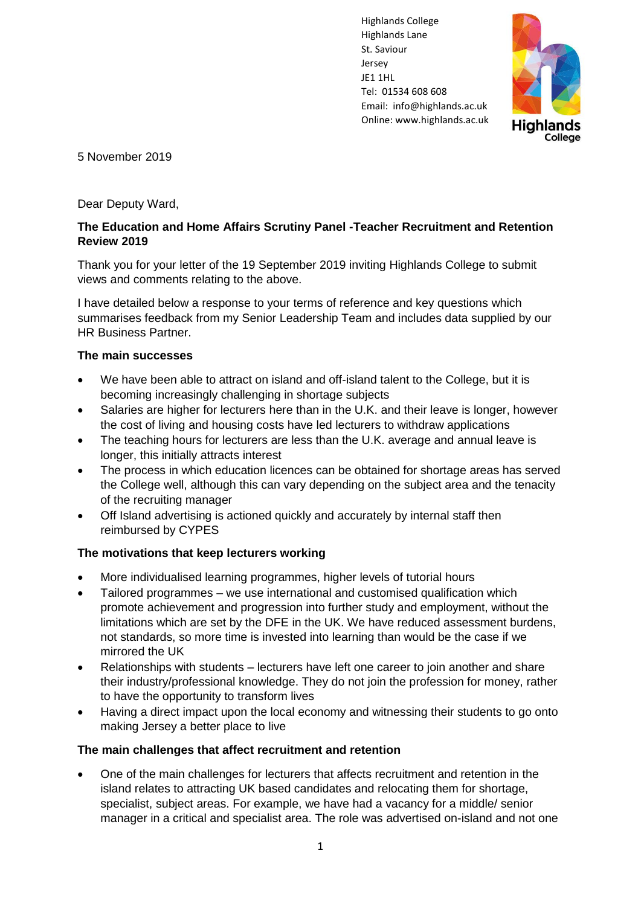Highlands College Highlands Lane St. Saviour Jersey JE1 1HL Tel: 01534 608 608 Email: [info@highlands.ac.uk](mailto:info@highlands.ac.uk)  Online[: www.highlands.ac.uk](http://www.highlands.ac.uk/)



5 November 2019

Dear Deputy Ward,

## **The Education and Home Affairs Scrutiny Panel -Teacher Recruitment and Retention Review 2019**

Thank you for your letter of the 19 September 2019 inviting Highlands College to submit views and comments relating to the above.

I have detailed below a response to your terms of reference and key questions which summarises feedback from my Senior Leadership Team and includes data supplied by our HR Business Partner.

## **The main successes**

- We have been able to attract on island and off-island talent to the College, but it is becoming increasingly challenging in shortage subjects
- Salaries are higher for lecturers here than in the U.K. and their leave is longer, however the cost of living and housing costs have led lecturers to withdraw applications
- The teaching hours for lecturers are less than the U.K. average and annual leave is longer, this initially attracts interest
- The process in which education licences can be obtained for shortage areas has served the College well, although this can vary depending on the subject area and the tenacity of the recruiting manager
- Off Island advertising is actioned quickly and accurately by internal staff then reimbursed by CYPES

# **The motivations that keep lecturers working**

- More individualised learning programmes, higher levels of tutorial hours
- Tailored programmes we use international and customised qualification which promote achievement and progression into further study and employment, without the limitations which are set by the DFE in the UK. We have reduced assessment burdens, not standards, so more time is invested into learning than would be the case if we mirrored the UK
- Relationships with students lecturers have left one career to join another and share their industry/professional knowledge. They do not join the profession for money, rather to have the opportunity to transform lives
- Having a direct impact upon the local economy and witnessing their students to go onto making Jersey a better place to live

### **The main challenges that affect recruitment and retention**

• One of the main challenges for lecturers that affects recruitment and retention in the island relates to attracting UK based candidates and relocating them for shortage, specialist, subject areas. For example, we have had a vacancy for a middle/ senior manager in a critical and specialist area. The role was advertised on-island and not one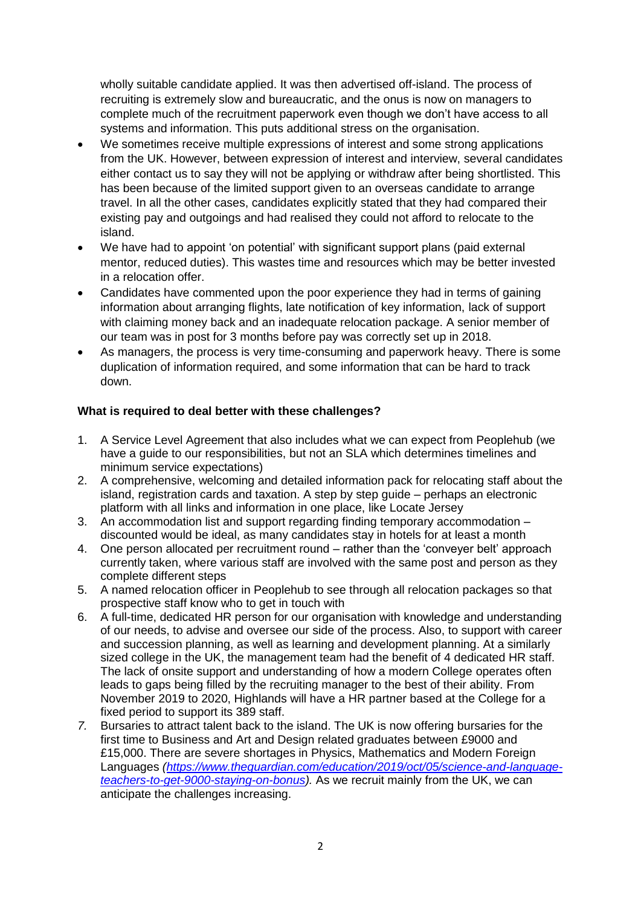wholly suitable candidate applied. It was then advertised off-island. The process of recruiting is extremely slow and bureaucratic, and the onus is now on managers to complete much of the recruitment paperwork even though we don't have access to all systems and information. This puts additional stress on the organisation.

- We sometimes receive multiple expressions of interest and some strong applications from the UK. However, between expression of interest and interview, several candidates either contact us to say they will not be applying or withdraw after being shortlisted. This has been because of the limited support given to an overseas candidate to arrange travel. In all the other cases, candidates explicitly stated that they had compared their existing pay and outgoings and had realised they could not afford to relocate to the island.
- We have had to appoint 'on potential' with significant support plans (paid external mentor, reduced duties). This wastes time and resources which may be better invested in a relocation offer.
- Candidates have commented upon the poor experience they had in terms of gaining information about arranging flights, late notification of key information, lack of support with claiming money back and an inadequate relocation package. A senior member of our team was in post for 3 months before pay was correctly set up in 2018.
- As managers, the process is very time-consuming and paperwork heavy. There is some duplication of information required, and some information that can be hard to track down.

## **What is required to deal better with these challenges?**

- 1. A Service Level Agreement that also includes what we can expect from Peoplehub (we have a quide to our responsibilities, but not an SLA which determines timelines and minimum service expectations)
- 2. A comprehensive, welcoming and detailed information pack for relocating staff about the island, registration cards and taxation. A step by step guide – perhaps an electronic platform with all links and information in one place, like Locate Jersey
- 3. An accommodation list and support regarding finding temporary accommodation discounted would be ideal, as many candidates stay in hotels for at least a month
- 4. One person allocated per recruitment round rather than the 'conveyer belt' approach currently taken, where various staff are involved with the same post and person as they complete different steps
- 5. A named relocation officer in Peoplehub to see through all relocation packages so that prospective staff know who to get in touch with
- 6. A full-time, dedicated HR person for our organisation with knowledge and understanding of our needs, to advise and oversee our side of the process. Also, to support with career and succession planning, as well as learning and development planning. At a similarly sized college in the UK, the management team had the benefit of 4 dedicated HR staff. The lack of onsite support and understanding of how a modern College operates often leads to gaps being filled by the recruiting manager to the best of their ability. From November 2019 to 2020, Highlands will have a HR partner based at the College for a fixed period to support its 389 staff.
- *7.* Bursaries to attract talent back to the island. The UK is now offering bursaries for the first time to Business and Art and Design related graduates between £9000 and £15,000. There are severe shortages in Physics, Mathematics and Modern Foreign Languages *[\(https://www.theguardian.com/education/2019/oct/05/science-and-language](https://www.theguardian.com/education/2019/oct/05/science-and-language-teachers-to-get-9000-staying-on-bonus)[teachers-to-get-9000-staying-on-bonus\)](https://www.theguardian.com/education/2019/oct/05/science-and-language-teachers-to-get-9000-staying-on-bonus).* As we recruit mainly from the UK, we can anticipate the challenges increasing.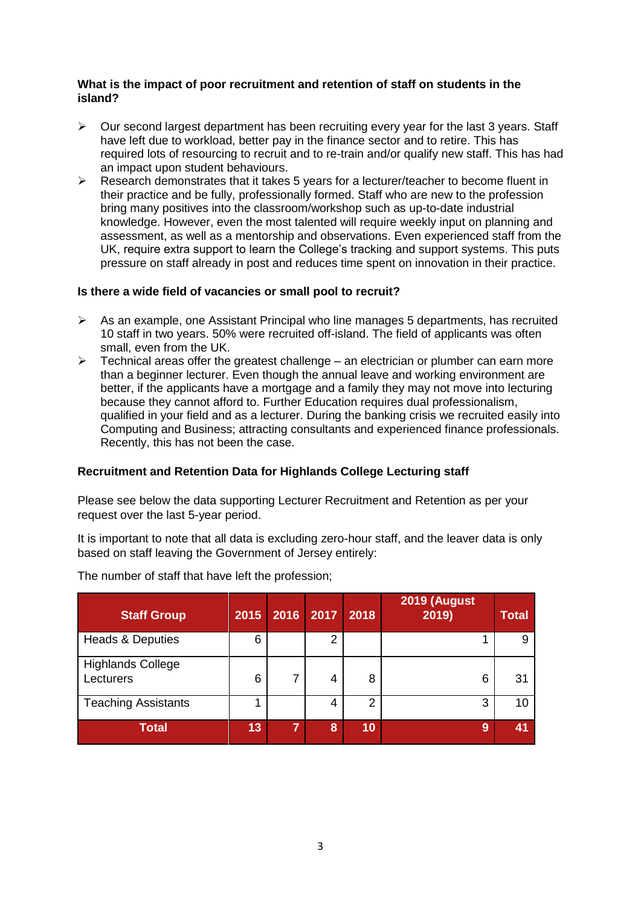#### **What is the impact of poor recruitment and retention of staff on students in the island?**

- $\triangleright$  Our second largest department has been recruiting every year for the last 3 years. Staff have left due to workload, better pay in the finance sector and to retire. This has required lots of resourcing to recruit and to re-train and/or qualify new staff. This has had an impact upon student behaviours.
- $\triangleright$  Research demonstrates that it takes 5 years for a lecturer/teacher to become fluent in their practice and be fully, professionally formed. Staff who are new to the profession bring many positives into the classroom/workshop such as up-to-date industrial knowledge. However, even the most talented will require weekly input on planning and assessment, as well as a mentorship and observations. Even experienced staff from the UK, require extra support to learn the College's tracking and support systems. This puts pressure on staff already in post and reduces time spent on innovation in their practice.

### **Is there a wide field of vacancies or small pool to recruit?**

- $\triangleright$  As an example, one Assistant Principal who line manages 5 departments, has recruited 10 staff in two years. 50% were recruited off-island. The field of applicants was often small, even from the UK.
- $\triangleright$  Technical areas offer the greatest challenge an electrician or plumber can earn more than a beginner lecturer. Even though the annual leave and working environment are better, if the applicants have a mortgage and a family they may not move into lecturing because they cannot afford to. Further Education requires dual professionalism, qualified in your field and as a lecturer. During the banking crisis we recruited easily into Computing and Business; attracting consultants and experienced finance professionals. Recently, this has not been the case.

### **Recruitment and Retention Data for Highlands College Lecturing staff**

Please see below the data supporting Lecturer Recruitment and Retention as per your request over the last 5-year period.

It is important to note that all data is excluding zero-hour staff, and the leaver data is only based on staff leaving the Government of Jersey entirely:

| <b>Staff Group</b>                    | 2015 | 2016 | 2017 | 2018           | 2019 (August<br>2019) | <b>Total</b> |
|---------------------------------------|------|------|------|----------------|-----------------------|--------------|
| <b>Heads &amp; Deputies</b>           | 6    |      | 2    |                |                       | 9            |
| <b>Highlands College</b><br>Lecturers | 6    |      | 4    | 8              | 6                     | 31           |
| <b>Teaching Assistants</b>            |      |      | 4    | $\overline{2}$ | 3                     | 10           |
| <b>Total</b>                          | 13   | ⇁    | 8    | 10             | 9                     | 41           |

The number of staff that have left the profession;